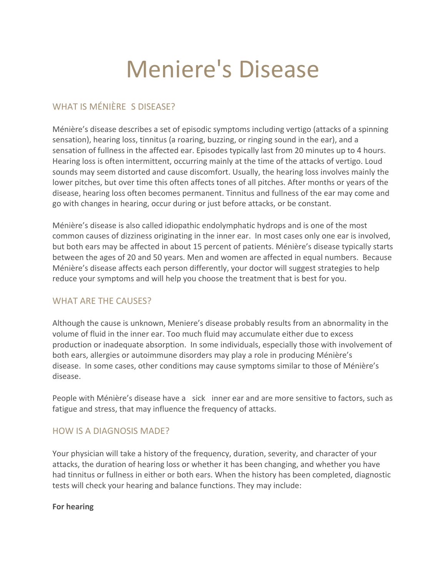# Meniere's Disease

## WHAT IS MÉNIÈRE S DISEASE?

Ménière's disease describes a set of episodic symptoms including vertigo (attacks of a spinning sensation), hearing loss, tinnitus (a roaring, buzzing, or ringing sound in the ear), and a sensation of fullness in the affected ear. Episodes typically last from 20 minutes up to 4 hours. Hearing loss is often intermittent, occurring mainly at the time of the attacks of vertigo. Loud sounds may seem distorted and cause discomfort. Usually, the hearing loss involves mainly the lower pitches, but over time this often affects tones of all pitches. After months or years of the disease, hearing loss often becomes permanent. Tinnitus and fullness of the ear may come and go with changes in hearing, occur during or just before attacks, or be constant.

Ménière's disease is also called idiopathic endolymphatic hydrops and is one of the most common causes of dizziness originating in the inner ear. In most cases only one ear is involved, but both ears may be affected in about 15 percent of patients. Ménière's disease typically starts between the ages of 20 and 50 years. Men and women are affected in equal numbers. Because Ménière's disease affects each person differently, your doctor will suggest strategies to help reduce your symptoms and will help you choose the treatment that is best for you.

## WHAT ARF THE CAUSES?

Although the cause is unknown, Meniere's disease probably results from an abnormality in the volume of fluid in the inner ear. Too much fluid may accumulate either due to excess production or inadequate absorption. In some individuals, especially those with involvement of both ears, allergies or autoimmune disorders may play a role in producing Ménière's disease. In some cases, other conditions may cause symptoms similar to those of Ménière's disease.

People with Ménière's disease have a sick inner ear and are more sensitive to factors, such as fatigue and stress, that may influence the frequency of attacks.

## HOW IS A DIAGNOSIS MADE?

Your physician will take a history of the frequency, duration, severity, and character of your attacks, the duration of hearing loss or whether it has been changing, and whether you have had tinnitus or fullness in either or both ears. When the history has been completed, diagnostic tests will check your hearing and balance functions. They may include:

#### **For hearing**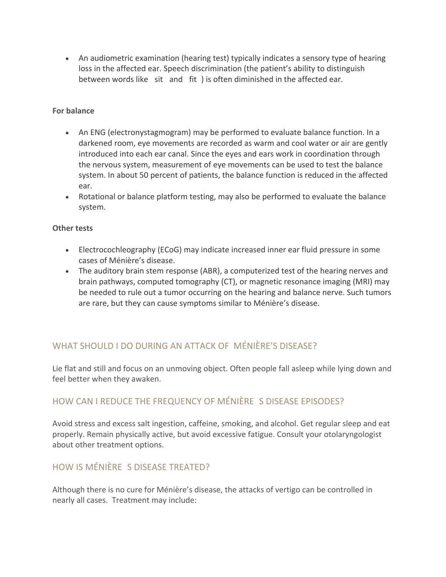• An audiometric examination (hearing test) typically indicates a sensory type of hearing loss in the affected ear. Speech discrimination (the patient's ability to distinguish between words like sit and fit) is often diminished in the affected ear.

#### **For balance**

- An ENG (electronystagmogram) may be performed to evaluate balance function. In a darkened room, eye movements are recorded as warm and cool water or air are gently introduced into each ear canal. Since the eyes and ears work in coordination through the nervous system, measurement of eye movements can be used to test the balance system. In about 50 percent of patients, the balance function is reduced in the affected ear.
- Rotational or balance platform testing, may also be performed to evaluate the balance system.

#### **Other tests**

- Electrocochleography (ECoG) may indicate increased inner ear fluid pressure in some cases of Ménière's disease.
- The auditory brain stem response (ABR), a computerized test of the hearing nerves and brain pathways, computed tomography (CT), or magnetic resonance imaging (MRI) may be needed to rule out a tumor occurring on the hearing and balance nerve. Such tumors are rare, but they can cause symptoms similar to Ménière's disease.

# WHAT SHOULD I DO DURING AN ATTACK OF MÉNIÈRE'S DISFASE?

Lie flat and still and focus on an unmoving object. Often people fall asleep while lying down and feel better when they awaken.

## HOW CAN I REDUCE THE FREQUENCY OF MÉNIÈRE S DISEASE EPISODES?

Avoid stress and excess salt ingestion, caffeine, smoking, and alcohol. Get regular sleep and eat properly. Remain physically active, but avoid excessive fatigue. Consult your otolaryngologist about other treatment options.

## HOW IS MÉNIÈRE S DISEASE TREATED?

Although there is no cure for Ménière's disease, the attacks of vertigo can be controlled in nearly all cases. Treatment may include: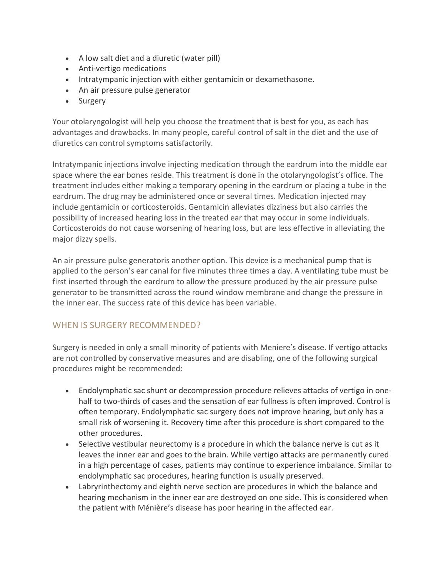- A low salt diet and a diuretic (water pill)
- Anti-vertigo medications
- Intratympanic injection with either gentamicin or dexamethasone.
- An air pressure pulse generator
- Surgery

Your otolaryngologist will help you choose the treatment that is best for you, as each has advantages and drawbacks. In many people, careful control of salt in the diet and the use of diuretics can control symptoms satisfactorily.

Intratympanic injections involve injecting medication through the eardrum into the middle ear space where the ear bones reside. This treatment is done in the otolaryngologist's office. The treatment includes either making a temporary opening in the eardrum or placing a tube in the eardrum. The drug may be administered once or several times. Medication injected may include gentamicin or corticosteroids. Gentamicin alleviates dizziness but also carries the possibility of increased hearing loss in the treated ear that may occur in some individuals. Corticosteroids do not cause worsening of hearing loss, but are less effective in alleviating the major dizzy spells.

An air pressure pulse generatoris another option. This device is a mechanical pump that is applied to the person's ear canal for five minutes three times a day. A ventilating tube must be first inserted through the eardrum to allow the pressure produced by the air pressure pulse generator to be transmitted across the round window membrane and change the pressure in the inner ear. The success rate of this device has been variable.

## WHEN IS SURGERY RECOMMENDED?

Surgery is needed in only a small minority of patients with Meniere's disease. If vertigo attacks are not controlled by conservative measures and are disabling, one of the following surgical procedures might be recommended:

- Endolymphatic sac shunt or decompression procedure relieves attacks of vertigo in onehalf to two-thirds of cases and the sensation of ear fullness is often improved. Control is often temporary. Endolymphatic sac surgery does not improve hearing, but only has a small risk of worsening it. Recovery time after this procedure is short compared to the other procedures.
- Selective vestibular neurectomy is a procedure in which the balance nerve is cut as it leaves the inner ear and goes to the brain. While vertigo attacks are permanently cured in a high percentage of cases, patients may continue to experience imbalance. Similar to endolymphatic sac procedures, hearing function is usually preserved.
- Labryrinthectomy and eighth nerve section are procedures in which the balance and hearing mechanism in the inner ear are destroyed on one side. This is considered when the patient with Ménière's disease has poor hearing in the affected ear.